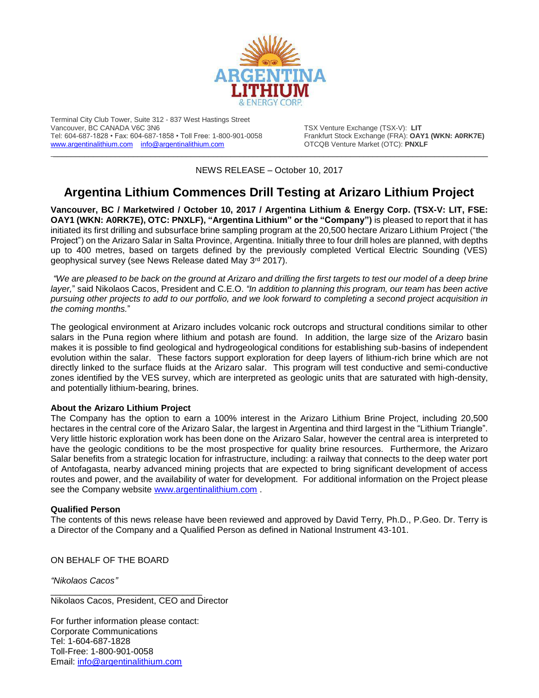

Terminal City Club Tower, Suite 312 - 837 West Hastings Street Tel: 604-687-1828 • Fax: 604-687-1858 • Toll Free: 1-800-901-0058 Frankfurt Stock Exchange (FRA): **OAY1** (FRA): **OAY1**<br>www.argentinalithium.com info@argentinalithium.com (DTCQB Venture Market (OTC): **PNXLF** [www.argentinalithium.com](http://www.argentinalithium.com/) [info@argentinalithium.com](mailto:info@argentinalithium.com)

TSX Venture Exchange (TSX-V): LIT<br>Frankfurt Stock Exchange (FRA): OAY1 (WKN: A0RK7E)

\_\_\_\_\_\_\_\_\_\_\_\_\_\_\_\_\_\_\_\_\_\_\_\_\_\_\_\_\_\_\_\_\_\_\_\_\_\_\_\_\_\_\_\_\_\_\_\_\_\_\_\_\_\_\_\_\_\_\_\_\_\_\_\_\_\_\_\_\_\_\_\_\_\_\_\_\_\_\_\_\_\_\_\_\_\_\_\_\_\_\_\_\_\_\_\_\_\_ NEWS RELEASE – October 10, 2017

## **Argentina Lithium Commences Drill Testing at Arizaro Lithium Project**

**Vancouver, BC / Marketwired / October 10, 2017 / Argentina Lithium & Energy Corp. (TSX-V: LIT, FSE: OAY1 (WKN: A0RK7E), OTC: PNXLF), "Argentina Lithium" or the "Company")** is pleased to report that it has initiated its first drilling and subsurface brine sampling program at the 20,500 hectare Arizaro Lithium Project ("the Project") on the Arizaro Salar in Salta Province, Argentina. Initially three to four drill holes are planned, with depths up to 400 metres, based on targets defined by the previously completed Vertical Electric Sounding (VES) geophysical survey (see News Release dated May 3rd 2017).

*"We are pleased to be back on the ground at Arizaro and drilling the first targets to test our model of a deep brine layer,*" said Nikolaos Cacos, President and C.E.O. *"In addition to planning this program, our team has been active pursuing other projects to add to our portfolio, and we look forward to completing a second project acquisition in the coming months.*"

The geological environment at Arizaro includes volcanic rock outcrops and structural conditions similar to other salars in the Puna region where lithium and potash are found. In addition, the large size of the Arizaro basin makes it is possible to find geological and hydrogeological conditions for establishing sub-basins of independent evolution within the salar. These factors support exploration for deep layers of lithium-rich brine which are not directly linked to the surface fluids at the Arizaro salar. This program will test conductive and semi-conductive zones identified by the VES survey, which are interpreted as geologic units that are saturated with high-density, and potentially lithium-bearing, brines.

## **About the Arizaro Lithium Project**

The Company has the option to earn a 100% interest in the Arizaro Lithium Brine Project, including 20,500 hectares in the central core of the Arizaro Salar, the largest in Argentina and third largest in the "Lithium Triangle". Very little historic exploration work has been done on the Arizaro Salar, however the central area is interpreted to have the geologic conditions to be the most prospective for quality brine resources. Furthermore, the Arizaro Salar benefits from a strategic location for infrastructure, including: a railway that connects to the deep water port of Antofagasta, nearby advanced mining projects that are expected to bring significant development of access routes and power, and the availability of water for development. For additional information on the Project please see the Company website [www.argentinalithium.com](http://www.argentinalithium.com/).

## **Qualified Person**

The contents of this news release have been reviewed and approved by David Terry, Ph.D., P.Geo. Dr. Terry is a Director of the Company and a Qualified Person as defined in National Instrument 43-101.

ON BEHALF OF THE BOARD

*"Nikolaos Cacos"*

Nikolaos Cacos, President, CEO and Director

For further information please contact: Corporate Communications Tel: 1-604-687-1828 Toll-Free: 1-800-901-0058 Email: [info@argentinalithium.com](mailto:info@argentinalithium.com)

\_\_\_\_\_\_\_\_\_\_\_\_\_\_\_\_\_\_\_\_\_\_\_\_\_\_\_\_\_\_\_